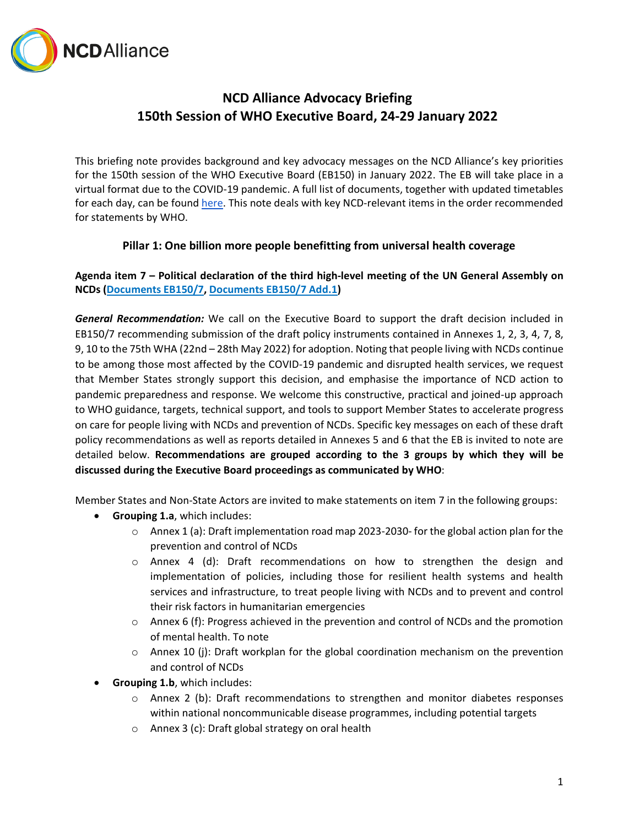

# **NCD Alliance Advocacy Briefing 150th Session of WHO Executive Board, 24-29 January 2022**

This briefing note provides background and key advocacy messages on the NCD Alliance's key priorities for the 150th session of the WHO Executive Board (EB150) in January 2022. The EB will take place in a virtual format due to the COVID-19 pandemic. A full list of documents, together with updated timetables for each day, can be found [here.](https://apps.who.int/gb/e/e_eb150.html) This note deals with key NCD-relevant items in the order recommended for statements by WHO.

# **Pillar 1: One billion more people benefitting from universal health coverage**

**Agenda item 7 – Political declaration of the third high-level meeting of the UN General Assembly on NCDs [\(Documents EB150/7,](https://apps.who.int/gb/ebwha/pdf_files/EB150/B150_7-en.pdf) [Documents EB150/7 Add.1\)](https://apps.who.int/gb/ebwha/pdf_files/EB150/B150_7Add1-en.pdf)**

*General Recommendation:* We call on the Executive Board to support the draft decision included in EB150/7 recommending submission of the draft policy instruments contained in Annexes 1, 2, 3, 4, 7, 8, 9, 10 to the 75th WHA (22nd – 28th May 2022) for adoption. Noting that people living with NCDs continue to be among those most affected by the COVID-19 pandemic and disrupted health services, we request that Member States strongly support this decision, and emphasise the importance of NCD action to pandemic preparedness and response. We welcome this constructive, practical and joined-up approach to WHO guidance, targets, technical support, and tools to support Member States to accelerate progress on care for people living with NCDs and prevention of NCDs. Specific key messages on each of these draft policy recommendations as well as reports detailed in Annexes 5 and 6 that the EB is invited to note are detailed below. **Recommendations are grouped according to the 3 groups by which they will be discussed during the Executive Board proceedings as communicated by WHO**:

Member States and Non-State Actors are invited to make statements on item 7 in the following groups:

- **Grouping 1.a**, which includes:
	- $\circ$  Annex 1 (a): Draft implementation road map 2023-2030- for the global action plan for the prevention and control of NCDs
	- $\circ$  Annex 4 (d): Draft recommendations on how to strengthen the design and implementation of policies, including those for resilient health systems and health services and infrastructure, to treat people living with NCDs and to prevent and control their risk factors in humanitarian emergencies
	- $\circ$  Annex 6 (f): Progress achieved in the prevention and control of NCDs and the promotion of mental health. To note
	- $\circ$  Annex 10 (j): Draft workplan for the global coordination mechanism on the prevention and control of NCDs
- **Grouping 1.b**, which includes:
	- $\circ$  Annex 2 (b): Draft recommendations to strengthen and monitor diabetes responses within national noncommunicable disease programmes, including potential targets
	- o Annex 3 (c): Draft global strategy on oral health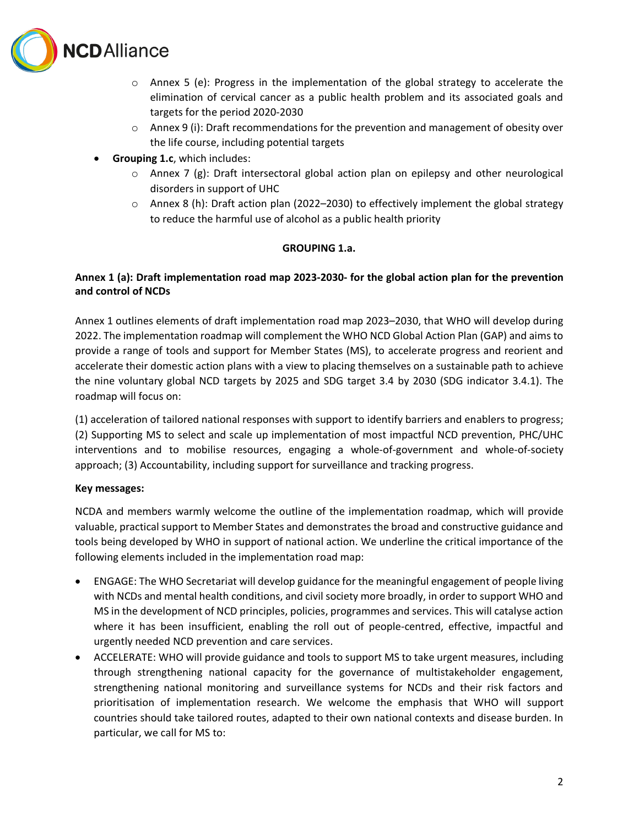

- $\circ$  Annex 5 (e): Progress in the implementation of the global strategy to accelerate the elimination of cervical cancer as a public health problem and its associated goals and targets for the period 2020-2030
- $\circ$  Annex 9 (i): Draft recommendations for the prevention and management of obesity over the life course, including potential targets
- **Grouping 1.c**, which includes:
	- $\circ$  Annex 7 (g): Draft intersectoral global action plan on epilepsy and other neurological disorders in support of UHC
	- $\circ$  Annex 8 (h): Draft action plan (2022–2030) to effectively implement the global strategy to reduce the harmful use of alcohol as a public health priority

## **GROUPING 1.a.**

# **Annex 1 (a): Draft implementation road map 2023-2030- for the global action plan for the prevention and control of NCDs**

Annex 1 outlines elements of draft implementation road map 2023–2030, that WHO will develop during 2022. The implementation roadmap will complement the WHO NCD Global Action Plan (GAP) and aims to provide a range of tools and support for Member States (MS), to accelerate progress and reorient and accelerate their domestic action plans with a view to placing themselves on a sustainable path to achieve the nine voluntary global NCD targets by 2025 and SDG target 3.4 by 2030 (SDG indicator 3.4.1). The roadmap will focus on:

(1) acceleration of tailored national responses with support to identify barriers and enablers to progress; (2) Supporting MS to select and scale up implementation of most impactful NCD prevention, PHC/UHC interventions and to mobilise resources, engaging a whole-of-government and whole-of-society approach; (3) Accountability, including support for surveillance and tracking progress.

# **Key messages:**

NCDA and members warmly welcome the outline of the implementation roadmap, which will provide valuable, practical support to Member States and demonstrates the broad and constructive guidance and tools being developed by WHO in support of national action. We underline the critical importance of the following elements included in the implementation road map:

- ENGAGE: The WHO Secretariat will develop guidance for the meaningful engagement of people living with NCDs and mental health conditions, and civil society more broadly, in order to support WHO and MS in the development of NCD principles, policies, programmes and services. This will catalyse action where it has been insufficient, enabling the roll out of people-centred, effective, impactful and urgently needed NCD prevention and care services.
- ACCELERATE: WHO will provide guidance and tools to support MS to take urgent measures, including through strengthening national capacity for the governance of multistakeholder engagement, strengthening national monitoring and surveillance systems for NCDs and their risk factors and prioritisation of implementation research. We welcome the emphasis that WHO will support countries should take tailored routes, adapted to their own national contexts and disease burden. In particular, we call for MS to: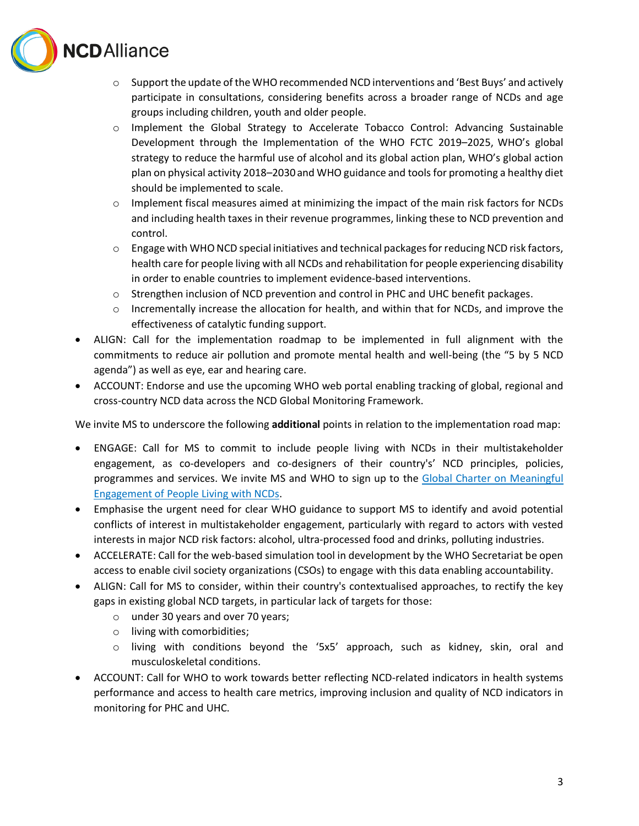

- $\circ$  Support the update of the WHO recommended NCD interventions and 'Best Buys' and actively participate in consultations, considering benefits across a broader range of NCDs and age groups including children, youth and older people.
- o Implement the Global Strategy to Accelerate Tobacco Control: Advancing Sustainable Development through the Implementation of the WHO FCTC 2019–2025, WHO's global strategy to reduce the harmful use of alcohol and its global action plan, WHO's global action plan on physical activity 2018–2030 and WHO guidance and tools for promoting a healthy diet should be implemented to scale.
- $\circ$  Implement fiscal measures aimed at minimizing the impact of the main risk factors for NCDs and including health taxes in their revenue programmes, linking these to NCD prevention and control.
- $\circ$  Engage with WHONCD special initiatives and technical packages for reducing NCD risk factors, health care for people living with all NCDs and rehabilitation for people experiencing disability in order to enable countries to implement evidence-based interventions.
- $\circ$  Strengthen inclusion of NCD prevention and control in PHC and UHC benefit packages.
- o Incrementally increase the allocation for health, and within that for NCDs, and improve the effectiveness of catalytic funding support.
- ALIGN: Call for the implementation roadmap to be implemented in full alignment with the commitments to reduce air pollution and promote mental health and well-being (the "5 by 5 NCD agenda") as well as eye, ear and hearing care.
- ACCOUNT: Endorse and use the upcoming WHO web portal enabling tracking of global, regional and cross-country NCD data across the NCD Global Monitoring Framework.

We invite MS to underscore the following **additional** points in relation to the implementation road map:

- ENGAGE: Call for MS to commit to include people living with NCDs in their multistakeholder engagement, as co-developers and co-designers of their country's' NCD principles, policies, programmes and services. We invite MS and WHO to sign up to the [Global Charter on](https://ourviewsourvoices.org/global-charter) Meaningful [Engagement of People Living with NCDs.](https://ourviewsourvoices.org/global-charter)
- Emphasise the urgent need for clear WHO guidance to support MS to identify and avoid potential conflicts of interest in multistakeholder engagement, particularly with regard to actors with vested interests in major NCD risk factors: alcohol, ultra-processed food and drinks, polluting industries.
- ACCELERATE: Call for the web-based simulation tool in development by the WHO Secretariat be open access to enable civil society organizations (CSOs) to engage with this data enabling accountability.
- ALIGN: Call for MS to consider, within their country's contextualised approaches, to rectify the key gaps in existing global NCD targets, in particular lack of targets for those:
	- o under 30 years and over 70 years;
	- o living with comorbidities;
	- $\circ$  living with conditions beyond the '5x5' approach, such as kidney, skin, oral and musculoskeletal conditions.
- ACCOUNT: Call for WHO to work towards better reflecting NCD-related indicators in health systems performance and access to health care metrics, improving inclusion and quality of NCD indicators in monitoring for PHC and UHC.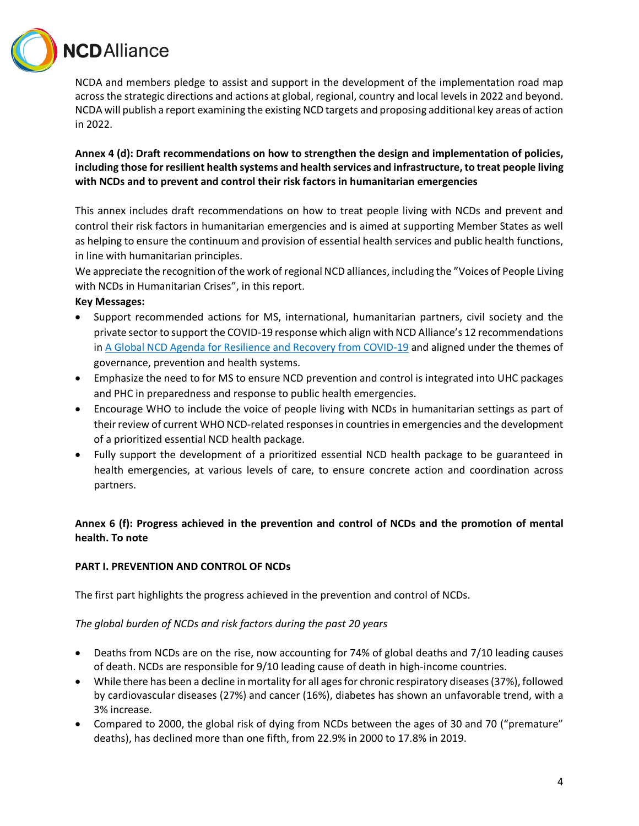

NCDA and members pledge to assist and support in the development of the implementation road map across the strategic directions and actions at global, regional, country and local levels in 2022 and beyond. NCDA will publish a report examining the existing NCD targets and proposing additional key areas of action in 2022.

**Annex 4 (d): Draft recommendations on how to strengthen the design and implementation of policies, including those for resilient health systems and health services and infrastructure, to treat people living with NCDs and to prevent and control their risk factors in humanitarian emergencies** 

This annex includes draft recommendations on how to treat people living with NCDs and prevent and control their risk factors in humanitarian emergencies and is aimed at supporting Member States as well as helping to ensure the continuum and provision of essential health services and public health functions, in line with humanitarian principles.

We appreciate the recognition of the work of regional NCD alliances, including the "Voices of People Living with NCDs in Humanitarian Crises", in this report.

## **Key Messages:**

- Support recommended actions for MS, international, humanitarian partners, civil society and the private sector to support the COVID-19 response which align with NCD Alliance's 12 recommendations i[n A Global NCD Agenda for Resilience and Recovery from COVID-19](https://ncdalliance.org/ncd-covid-19-recovery-agenda-report) and aligned under the themes of governance, prevention and health systems.
- Emphasize the need to for MS to ensure NCD prevention and control is integrated into UHC packages and PHC in preparedness and response to public health emergencies.
- Encourage WHO to include the voice of people living with NCDs in humanitarian settings as part of their review of current WHO NCD-related responses in countries in emergencies and the development of a prioritized essential NCD health package.
- Fully support the development of a prioritized essential NCD health package to be guaranteed in health emergencies, at various levels of care, to ensure concrete action and coordination across partners.

# **Annex 6 (f): Progress achieved in the prevention and control of NCDs and the promotion of mental health. To note**

# **PART I. PREVENTION AND CONTROL OF NCDs**

The first part highlights the progress achieved in the prevention and control of NCDs.

#### *The global burden of NCDs and risk factors during the past 20 years*

- Deaths from NCDs are on the rise, now accounting for 74% of global deaths and 7/10 leading causes of death. NCDs are responsible for 9/10 leading cause of death in high-income countries.
- While there has been a decline in mortality for all ages for chronic respiratory diseases (37%), followed by cardiovascular diseases (27%) and cancer (16%), diabetes has shown an unfavorable trend, with a 3% increase.
- Compared to 2000, the global risk of dying from NCDs between the ages of 30 and 70 ("premature" deaths), has declined more than one fifth, from 22.9% in 2000 to 17.8% in 2019.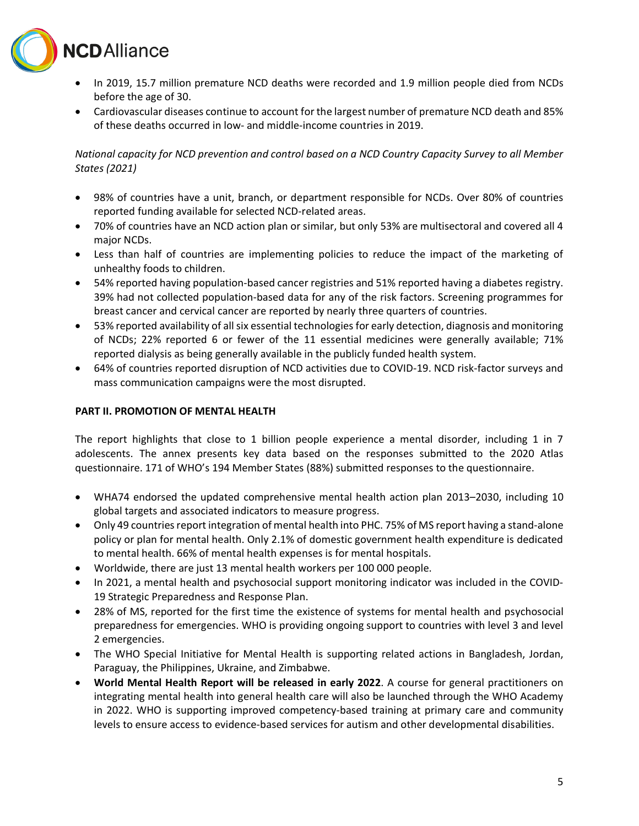

- In 2019, 15.7 million premature NCD deaths were recorded and 1.9 million people died from NCDs before the age of 30.
- Cardiovascular diseases continue to account for the largest number of premature NCD death and 85% of these deaths occurred in low- and middle-income countries in 2019.

# *National capacity for NCD prevention and control based on a NCD Country Capacity Survey to all Member States (2021)*

- 98% of countries have a unit, branch, or department responsible for NCDs. Over 80% of countries reported funding available for selected NCD-related areas.
- 70% of countries have an NCD action plan or similar, but only 53% are multisectoral and covered all 4 major NCDs.
- Less than half of countries are implementing policies to reduce the impact of the marketing of unhealthy foods to children.
- 54% reported having population-based cancer registries and 51% reported having a diabetes registry. 39% had not collected population-based data for any of the risk factors. Screening programmes for breast cancer and cervical cancer are reported by nearly three quarters of countries.
- 53% reported availability of all six essential technologies for early detection, diagnosis and monitoring of NCDs; 22% reported 6 or fewer of the 11 essential medicines were generally available; 71% reported dialysis as being generally available in the publicly funded health system.
- 64% of countries reported disruption of NCD activities due to COVID-19. NCD risk-factor surveys and mass communication campaigns were the most disrupted.

## **PART II. PROMOTION OF MENTAL HEALTH**

The report highlights that close to 1 billion people experience a mental disorder, including 1 in 7 adolescents. The annex presents key data based on the responses submitted to the 2020 Atlas questionnaire. 171 of WHO's 194 Member States (88%) submitted responses to the questionnaire.

- WHA74 endorsed the updated comprehensive mental health action plan 2013–2030, including 10 global targets and associated indicators to measure progress.
- Only 49 countries report integration of mental health into PHC. 75% of MS report having a stand-alone policy or plan for mental health. Only 2.1% of domestic government health expenditure is dedicated to mental health. 66% of mental health expenses is for mental hospitals.
- Worldwide, there are just 13 mental health workers per 100 000 people.
- In 2021, a mental health and psychosocial support monitoring indicator was included in the COVID-19 Strategic Preparedness and Response Plan.
- 28% of MS, reported for the first time the existence of systems for mental health and psychosocial preparedness for emergencies. WHO is providing ongoing support to countries with level 3 and level 2 emergencies.
- The WHO Special Initiative for Mental Health is supporting related actions in Bangladesh, Jordan, Paraguay, the Philippines, Ukraine, and Zimbabwe.
- **World Mental Health Report will be released in early 2022**. A course for general practitioners on integrating mental health into general health care will also be launched through the WHO Academy in 2022. WHO is supporting improved competency-based training at primary care and community levels to ensure access to evidence-based services for autism and other developmental disabilities.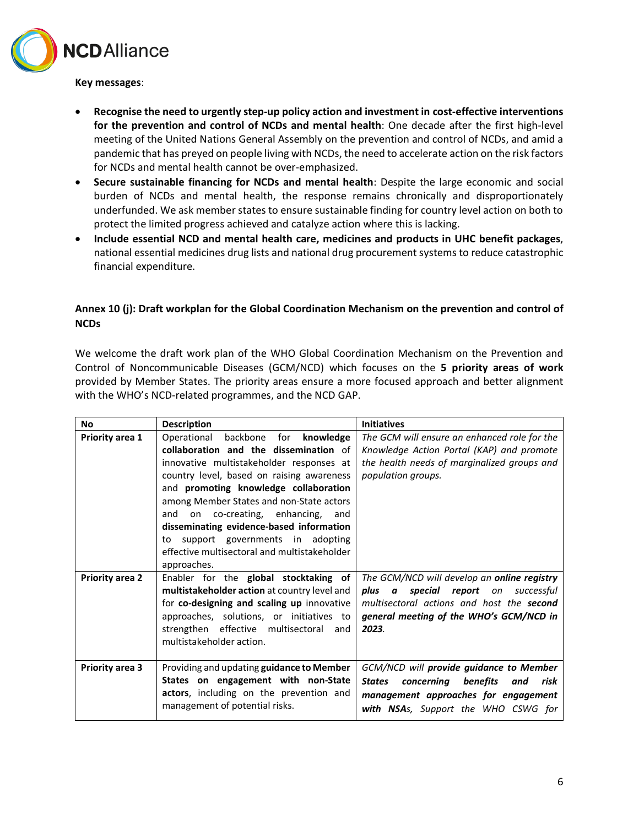

**Key messages**:

- **Recognise the need to urgently step-up policy action and investment in cost-effective interventions for the prevention and control of NCDs and mental health**: One decade after the first high-level meeting of the United Nations General Assembly on the prevention and control of NCDs, and amid a pandemic that has preyed on people living with NCDs, the need to accelerate action on the risk factors for NCDs and mental health cannot be over-emphasized.
- **Secure sustainable financing for NCDs and mental health**: Despite the large economic and social burden of NCDs and mental health, the response remains chronically and disproportionately underfunded. We ask member states to ensure sustainable finding for country level action on both to protect the limited progress achieved and catalyze action where this is lacking.
- **Include essential NCD and mental health care, medicines and products in UHC benefit packages**, national essential medicines drug lists and national drug procurement systems to reduce catastrophic financial expenditure.

# **Annex 10 (j): Draft workplan for the Global Coordination Mechanism on the prevention and control of NCDs**

We welcome the draft work plan of the WHO Global Coordination Mechanism on the Prevention and Control of Noncommunicable Diseases (GCM/NCD) which focuses on the **5 priority areas of work** provided by Member States. The priority areas ensure a more focused approach and better alignment with the WHO's NCD-related programmes, and the NCD GAP.

| <b>No</b>              | <b>Description</b>                           | <b>Initiatives</b>                                     |
|------------------------|----------------------------------------------|--------------------------------------------------------|
| <b>Priority area 1</b> | backbone for<br>knowledge<br>Operational     | The GCM will ensure an enhanced role for the           |
|                        | collaboration and the dissemination of       | Knowledge Action Portal (KAP) and promote              |
|                        | innovative multistakeholder responses at     | the health needs of marginalized groups and            |
|                        | country level, based on raising awareness    | population groups.                                     |
|                        | and promoting knowledge collaboration        |                                                        |
|                        | among Member States and non-State actors     |                                                        |
|                        | on co-creating, enhancing,<br>and<br>and     |                                                        |
|                        | disseminating evidence-based information     |                                                        |
|                        | support governments in adopting<br>to        |                                                        |
|                        | effective multisectoral and multistakeholder |                                                        |
|                        | approaches.                                  |                                                        |
| <b>Priority area 2</b> | Enabler for the global stocktaking of        | The GCM/NCD will develop an online registry            |
|                        | multistakeholder action at country level and | plus a<br>special<br><b>report</b> on<br>successful    |
|                        | for co-designing and scaling up innovative   | multisectoral actions and host the <b>second</b>       |
|                        | approaches, solutions, or initiatives to     | general meeting of the WHO's GCM/NCD in                |
|                        | strengthen effective multisectoral<br>and    | 2023.                                                  |
|                        | multistakeholder action.                     |                                                        |
|                        |                                              |                                                        |
| <b>Priority area 3</b> | Providing and updating guidance to Member    | GCM/NCD will provide guidance to Member                |
|                        | States on engagement with non-State          | concerning<br>benefits<br>risk<br><b>States</b><br>and |
|                        | actors, including on the prevention and      | management approaches for engagement                   |
|                        | management of potential risks.               | with NSAs, Support the WHO CSWG for                    |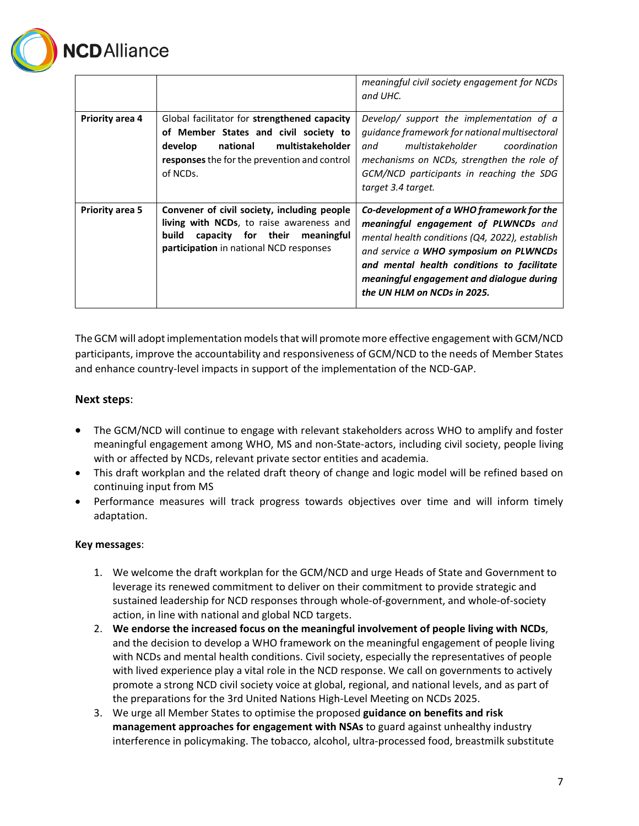

|                        |                                                                                                                                                                                                | meaningful civil society engagement for NCDs<br>and UHC.                                                                                                                                                                                                                                                |
|------------------------|------------------------------------------------------------------------------------------------------------------------------------------------------------------------------------------------|---------------------------------------------------------------------------------------------------------------------------------------------------------------------------------------------------------------------------------------------------------------------------------------------------------|
| <b>Priority area 4</b> | Global facilitator for strengthened capacity<br>of Member States and civil society to<br>multistakeholder<br>develop<br>national<br>responses the for the prevention and control<br>of NCDs.   | Develop/ support the implementation of a<br>guidance framework for national multisectoral<br>multistakeholder<br>coordination<br>and<br>mechanisms on NCDs, strengthen the role of<br>GCM/NCD participants in reaching the SDG<br>target 3.4 target.                                                    |
| <b>Priority area 5</b> | Convener of civil society, including people<br><b>living with NCDs</b> , to raise awareness and<br>capacity for their<br>build<br>meaningful<br><b>participation</b> in national NCD responses | Co-development of a WHO framework for the<br>meaningful engagement of PLWNCDs and<br>mental health conditions (Q4, 2022), establish<br>and service a WHO symposium on PLWNCDs<br>and mental health conditions to facilitate<br>meaningful engagement and dialogue during<br>the UN HLM on NCDs in 2025. |

The GCM will adopt implementation models that will promote more effective engagement with GCM/NCD participants, improve the accountability and responsiveness of GCM/NCD to the needs of Member States and enhance country-level impacts in support of the implementation of the NCD-GAP.

# **Next steps**:

- The GCM/NCD will continue to engage with relevant stakeholders across WHO to amplify and foster meaningful engagement among WHO, MS and non-State-actors, including civil society, people living with or affected by NCDs, relevant private sector entities and academia.
- This draft workplan and the related draft theory of change and logic model will be refined based on continuing input from MS
- Performance measures will track progress towards objectives over time and will inform timely adaptation.

#### **Key messages**:

- 1. We welcome the draft workplan for the GCM/NCD and urge Heads of State and Government to leverage its renewed commitment to deliver on their commitment to provide strategic and sustained leadership for NCD responses through whole-of-government, and whole-of-society action, in line with national and global NCD targets.
- 2. **We endorse the increased focus on the meaningful involvement of people living with NCDs**, and the decision to develop a WHO framework on the meaningful engagement of people living with NCDs and mental health conditions. Civil society, especially the representatives of people with lived experience play a vital role in the NCD response. We call on governments to actively promote a strong NCD civil society voice at global, regional, and national levels, and as part of the preparations for the 3rd United Nations High-Level Meeting on NCDs 2025.
- 3. We urge all Member States to optimise the proposed **guidance on benefits and risk management approaches for engagement with NSAs** to guard against unhealthy industry interference in policymaking. The tobacco, alcohol, ultra-processed food, breastmilk substitute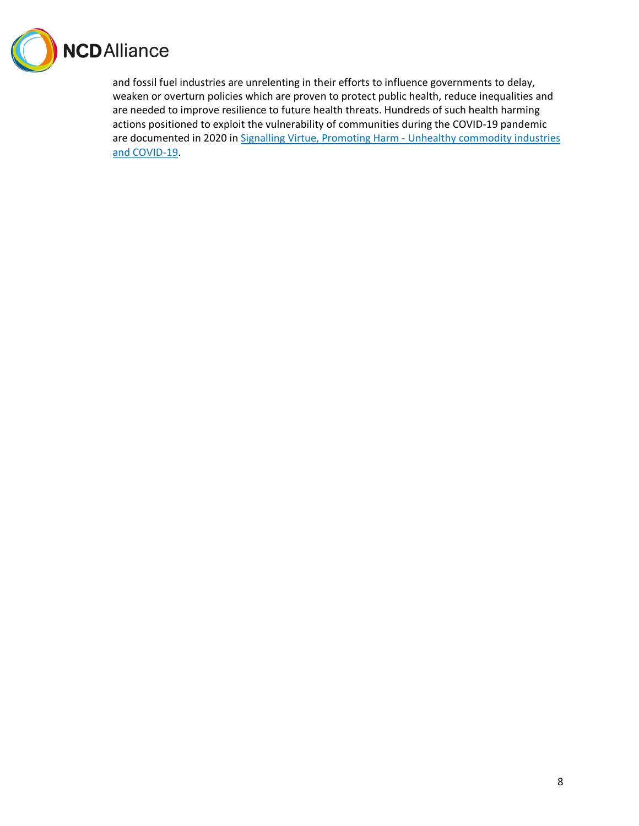

and fossil fuel industries are unrelenting in their efforts to influence governments to delay, weaken or overturn policies which are proven to protect public health, reduce inequalities and are needed to improve resilience to future health threats. Hundreds of such health harming actions positioned to exploit the vulnerability of communities during the COVID-19 pandemic are documented in 2020 in [Signalling Virtue, Promoting Harm -](https://ncdalliance.org/resources/signalling-virtue-promoting-harm) Unhealthy commodity industries [and COVID-19.](https://ncdalliance.org/resources/signalling-virtue-promoting-harm)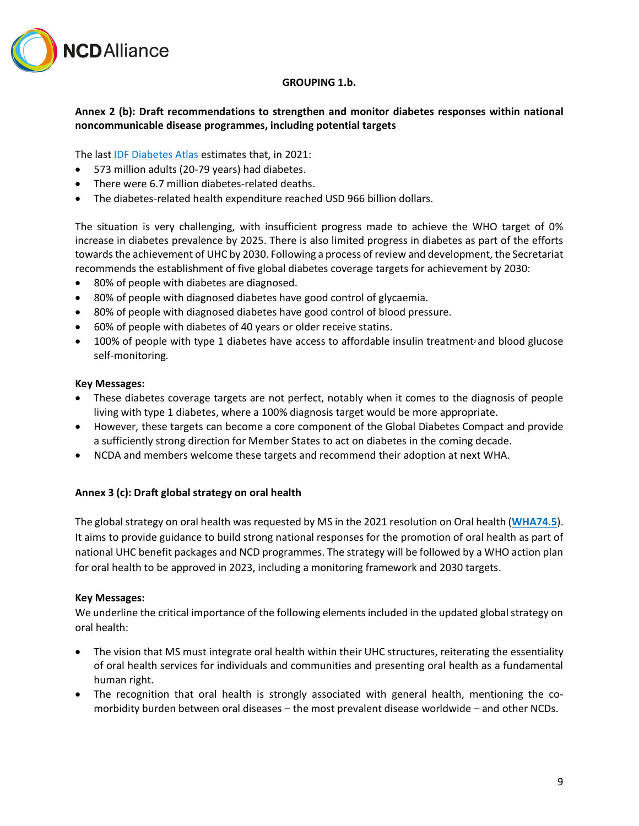

#### **GROUPING 1.b.**

# **Annex 2 (b): Draft recommendations to strengthen and monitor diabetes responses within national noncommunicable disease programmes, including potential targets**

The last [IDF Diabetes Atlas](https://diabetesatlas.org/) estimates that, in 2021:

- 573 million adults (20-79 years) had diabetes.
- There were 6.7 million diabetes-related deaths.
- The diabetes-related health expenditure reached USD 966 billion dollars.

The situation is very challenging, with insufficient progress made to achieve the WHO target of 0% increase in diabetes prevalence by 2025. There is also limited progress in diabetes as part of the efforts towards the achievement of UHC by 2030. Following a process of review and development, the Secretariat recommends the establishment of five global diabetes coverage targets for achievement by 2030:

- 80% of people with diabetes are diagnosed.
- 80% of people with diagnosed diabetes have good control of glycaemia.
- 80% of people with diagnosed diabetes have good control of blood pressure.
- 60% of people with diabetes of 40 years or older receive statins.
- 100% of people with type 1 diabetes have access to affordable insulin treatment<sup>2</sup> and blood glucose self-monitoring.

#### **Key Messages:**

- These diabetes coverage targets are not perfect, notably when it comes to the diagnosis of people living with type 1 diabetes, where a 100% diagnosis target would be more appropriate.
- However, these targets can become a core component of the Global Diabetes Compact and provide a sufficiently strong direction for Member States to act on diabetes in the coming decade.
- NCDA and members welcome these targets and recommend their adoption at next WHA.

# **Annex 3 (c): Draft global strategy on oral health**

The global strategy on oral health was requested by MS in the 2021 resolution on Oral health (**[WHA74.5](https://apps.who.int/gb/ebwha/pdf_files/WHA74/A74_R5-en.pdf)**). It aims to provide guidance to build strong national responses for the promotion of oral health as part of national UHC benefit packages and NCD programmes. The strategy will be followed by a WHO action plan for oral health to be approved in 2023, including a monitoring framework and 2030 targets.

#### **Key Messages:**

We underline the critical importance of the following elements included in the updated global strategy on oral health:

- The vision that MS must integrate oral health within their UHC structures, reiterating the essentiality of oral health services for individuals and communities and presenting oral health as a fundamental human right.
- The recognition that oral health is strongly associated with general health, mentioning the comorbidity burden between oral diseases – the most prevalent disease worldwide – and other NCDs.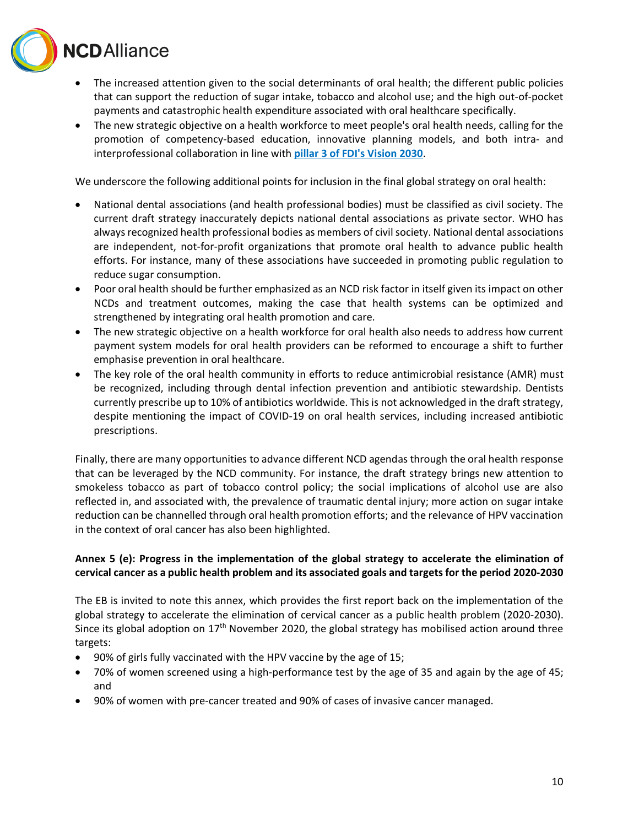

- The increased attention given to the social determinants of oral health; the different public policies that can support the reduction of sugar intake, tobacco and alcohol use; and the high out-of-pocket payments and catastrophic health expenditure associated with oral healthcare specifically.
- The new strategic objective on a health workforce to meet people's oral health needs, calling for the promotion of competency-based education, innovative planning models, and both intra- and interprofessional collaboration in line with **[pillar 3 of FDI's Vision](https://www.fdiworlddental.org/sites/default/files/2021-02/Vision-2030-Delivering%20Optimal-Oral-Health-for-All_0.pdf#page=22) 2030**.

We underscore the following additional points for inclusion in the final global strategy on oral health:

- National dental associations (and health professional bodies) must be classified as civil society. The current draft strategy inaccurately depicts national dental associations as private sector. WHO has always recognized health professional bodies as members of civil society. National dental associations are independent, not-for-profit organizations that promote oral health to advance public health efforts. For instance, many of these associations have succeeded in promoting public regulation to reduce sugar consumption.
- Poor oral health should be further emphasized as an NCD risk factor in itself given its impact on other NCDs and treatment outcomes, making the case that health systems can be optimized and strengthened by integrating oral health promotion and care.
- The new strategic objective on a health workforce for oral health also needs to address how current payment system models for oral health providers can be reformed to encourage a shift to further emphasise prevention in oral healthcare.
- The key role of the oral health community in efforts to reduce antimicrobial resistance (AMR) must be recognized, including through dental infection prevention and antibiotic stewardship. Dentists currently prescribe up to 10% of antibiotics worldwide. This is not acknowledged in the draft strategy, despite mentioning the impact of COVID-19 on oral health services, including increased antibiotic prescriptions.

Finally, there are many opportunities to advance different NCD agendas through the oral health response that can be leveraged by the NCD community. For instance, the draft strategy brings new attention to smokeless tobacco as part of tobacco control policy; the social implications of alcohol use are also reflected in, and associated with, the prevalence of traumatic dental injury; more action on sugar intake reduction can be channelled through oral health promotion efforts; and the relevance of HPV vaccination in the context of oral cancer has also been highlighted.

# **Annex 5 (e): Progress in the implementation of the global strategy to accelerate the elimination of cervical cancer as a public health problem and its associated goals and targets for the period 2020-2030**

The EB is invited to note this annex, which provides the first report back on the implementation of the global strategy to accelerate the elimination of cervical cancer as a public health problem (2020-2030). Since its global adoption on  $17<sup>th</sup>$  November 2020, the global strategy has mobilised action around three targets:

- 90% of girls fully vaccinated with the HPV vaccine by the age of 15;
- 70% of women screened using a high-performance test by the age of 35 and again by the age of 45; and
- 90% of women with pre-cancer treated and 90% of cases of invasive cancer managed.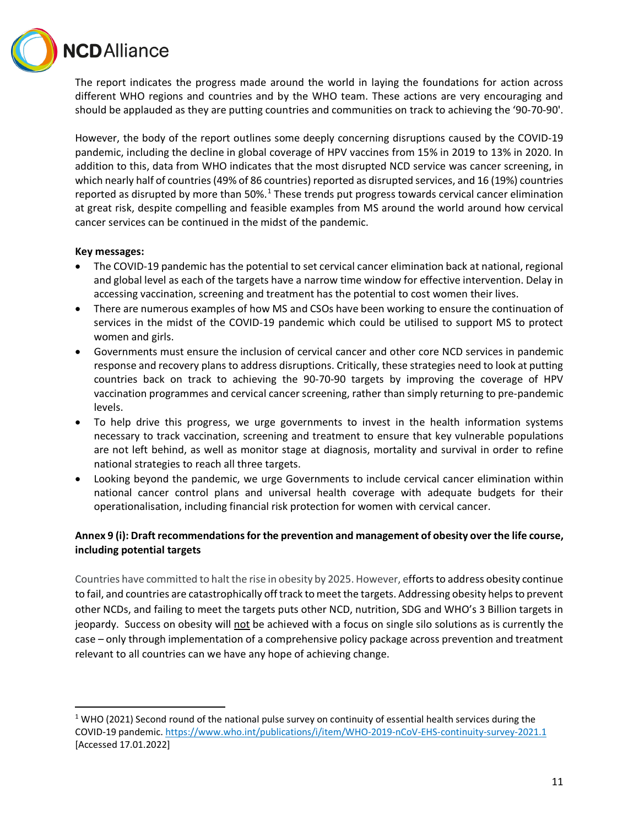**VCD** Alliance

The report indicates the progress made around the world in laying the foundations for action across different WHO regions and countries and by the WHO team. These actions are very encouraging and should be applauded as they are putting countries and communities on track to achieving the '90-70-90'.

However, the body of the report outlines some deeply concerning disruptions caused by the COVID-19 pandemic, including the decline in global coverage of HPV vaccines from 15% in 2019 to 13% in 2020. In addition to this, data from WHO indicates that the most disrupted NCD service was cancer screening, in which nearly half of countries (49% of 86 countries) reported as disrupted services, and 16 (19%) countries reported as disrupted by more than 50%.<sup>[1](#page-10-0)</sup> These trends put progress towards cervical cancer elimination at great risk, despite compelling and feasible examples from MS around the world around how cervical cancer services can be continued in the midst of the pandemic.

## **Key messages:**

- The COVID-19 pandemic has the potential to set cervical cancer elimination back at national, regional and global level as each of the targets have a narrow time window for effective intervention. Delay in accessing vaccination, screening and treatment has the potential to cost women their lives.
- There are numerous examples of how MS and CSOs have been working to ensure the continuation of services in the midst of the COVID-19 pandemic which could be utilised to support MS to protect women and girls.
- Governments must ensure the inclusion of cervical cancer and other core NCD services in pandemic response and recovery plans to address disruptions. Critically, these strategies need to look at putting countries back on track to achieving the 90-70-90 targets by improving the coverage of HPV vaccination programmes and cervical cancer screening, rather than simply returning to pre-pandemic levels.
- To help drive this progress, we urge governments to invest in the health information systems necessary to track vaccination, screening and treatment to ensure that key vulnerable populations are not left behind, as well as monitor stage at diagnosis, mortality and survival in order to refine national strategies to reach all three targets.
- Looking beyond the pandemic, we urge Governments to include cervical cancer elimination within national cancer control plans and universal health coverage with adequate budgets for their operationalisation, including financial risk protection for women with cervical cancer.

# **Annex 9 (i): Draft recommendations for the prevention and management of obesity over the life course, including potential targets**

Countries have committed to halt the rise in obesity by 2025. However, efforts to address obesity continue to fail, and countries are catastrophically off track to meet the targets. Addressing obesity helps to prevent other NCDs, and failing to meet the targets puts other NCD, nutrition, SDG and WHO's 3 Billion targets in jeopardy. Success on obesity will not be achieved with a focus on single silo solutions as is currently the case – only through implementation of a comprehensive policy package across prevention and treatment relevant to all countries can we have any hope of achieving change.

<span id="page-10-0"></span><sup>&</sup>lt;sup>1</sup> WHO (2021) Second round of the national pulse survey on continuity of essential health services during the COVID-19 pandemic[. https://www.who.int/publications/i/item/WHO-2019-nCoV-EHS-continuity-survey-2021.1](https://www.who.int/publications/i/item/WHO-2019-nCoV-EHS-continuity-survey-2021.1) [Accessed 17.01.2022]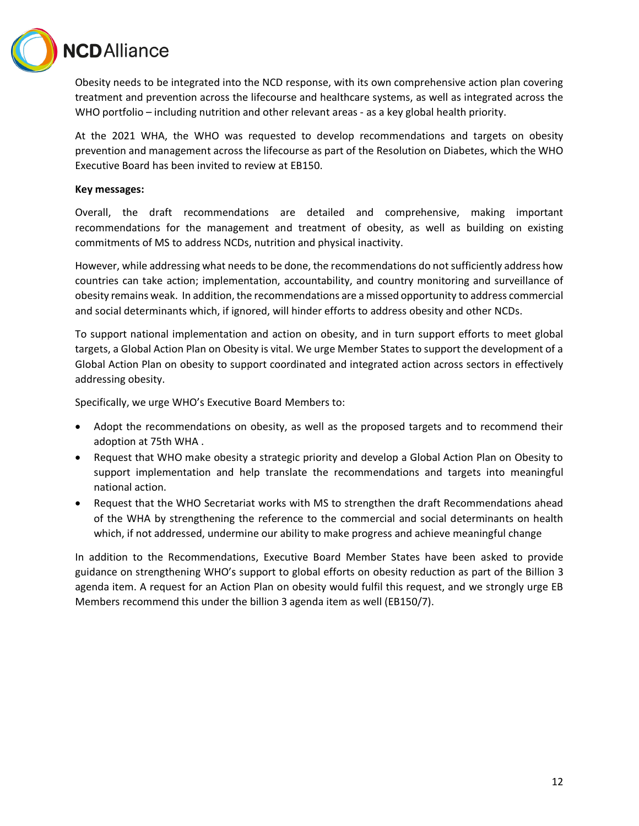

Obesity needs to be integrated into the NCD response, with its own comprehensive action plan covering treatment and prevention across the lifecourse and healthcare systems, as well as integrated across the WHO portfolio – including nutrition and other relevant areas - as a key global health priority.

At the 2021 WHA, the WHO was requested to develop recommendations and targets on obesity prevention and management across the lifecourse as part of the Resolution on Diabetes, which the WHO Executive Board has been invited to review at EB150.

#### **Key messages:**

Overall, the draft recommendations are detailed and comprehensive, making important recommendations for the management and treatment of obesity, as well as building on existing commitments of MS to address NCDs, nutrition and physical inactivity.

However, while addressing what needs to be done, the recommendations do not sufficiently address how countries can take action; implementation, accountability, and country monitoring and surveillance of obesity remains weak. In addition, the recommendations are a missed opportunity to address commercial and social determinants which, if ignored, will hinder efforts to address obesity and other NCDs.

To support national implementation and action on obesity, and in turn support efforts to meet global targets, a Global Action Plan on Obesity is vital. We urge Member States to support the development of a Global Action Plan on obesity to support coordinated and integrated action across sectors in effectively addressing obesity.

Specifically, we urge WHO's Executive Board Members to:

- Adopt the recommendations on obesity, as well as the proposed targets and to recommend their adoption at 75th WHA .
- Request that WHO make obesity a strategic priority and develop a Global Action Plan on Obesity to support implementation and help translate the recommendations and targets into meaningful national action.
- Request that the WHO Secretariat works with MS to strengthen the draft Recommendations ahead of the WHA by strengthening the reference to the commercial and social determinants on health which, if not addressed, undermine our ability to make progress and achieve meaningful change

In addition to the Recommendations, Executive Board Member States have been asked to provide guidance on strengthening WHO's support to global efforts on obesity reduction as part of the Billion 3 agenda item. A request for an Action Plan on obesity would fulfil this request, and we strongly urge EB Members recommend this under the billion 3 agenda item as well (EB150/7).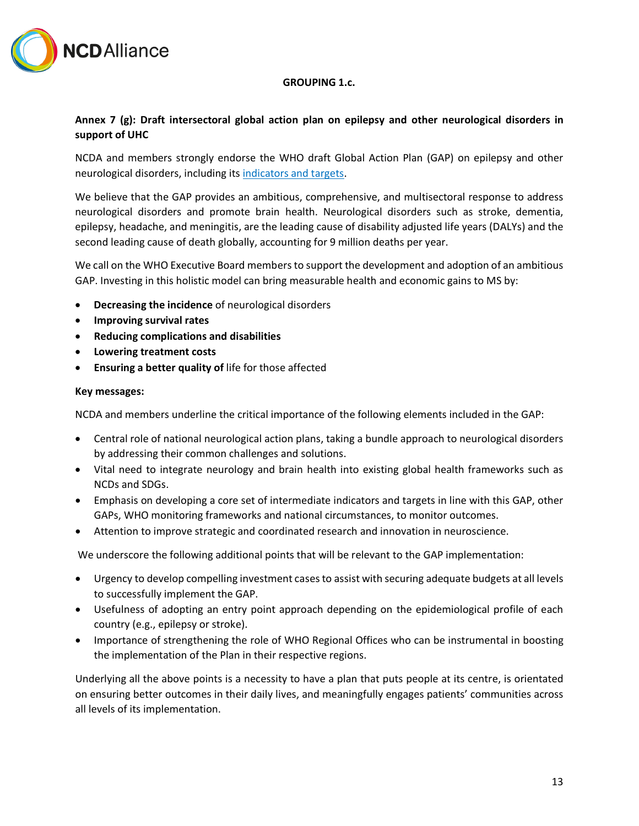

#### **GROUPING 1.c.**

# **Annex 7 (g): Draft intersectoral global action plan on epilepsy and other neurological disorders in support of UHC**

NCDA and members strongly endorse the WHO draft Global Action Plan (GAP) on epilepsy and other neurological disorders, including it[s indicators and targets.](https://drive.google.com/file/d/1uGT3yEB8IZ1xeC2ViADYoaJehzPc8F5l/view?usp=sharing)

We believe that the GAP provides an ambitious, comprehensive, and multisectoral response to address neurological disorders and promote brain health. Neurological disorders such as stroke, dementia, epilepsy, headache, and meningitis, are the leading cause of disability adjusted life years (DALYs) and the second leading cause of death globally, accounting for 9 million deaths per year.

We call on the WHO Executive Board members to support the development and adoption of an ambitious GAP. Investing in this holistic model can bring measurable health and economic gains to MS by:

- **Decreasing the incidence** of neurological disorders
- **Improving survival rates**
- **Reducing complications and disabilities**
- **Lowering treatment costs**
- **Ensuring a better quality of** life for those affected

#### **Key messages:**

NCDA and members underline the critical importance of the following elements included in the GAP:

- Central role of national neurological action plans, taking a bundle approach to neurological disorders by addressing their common challenges and solutions.
- Vital need to integrate neurology and brain health into existing global health frameworks such as NCDs and SDGs.
- Emphasis on developing a core set of intermediate indicators and targets in line with this GAP, other GAPs, WHO monitoring frameworks and national circumstances, to monitor outcomes.
- Attention to improve strategic and coordinated research and innovation in neuroscience.

We underscore the following additional points that will be relevant to the GAP implementation:

- Urgency to develop compelling investment cases to assist with securing adequate budgets at all levels to successfully implement the GAP.
- Usefulness of adopting an entry point approach depending on the epidemiological profile of each country (e.g., epilepsy or stroke).
- Importance of strengthening the role of WHO Regional Offices who can be instrumental in boosting the implementation of the Plan in their respective regions.

Underlying all the above points is a necessity to have a plan that puts people at its centre, is orientated on ensuring better outcomes in their daily lives, and meaningfully engages patients' communities across all levels of its implementation.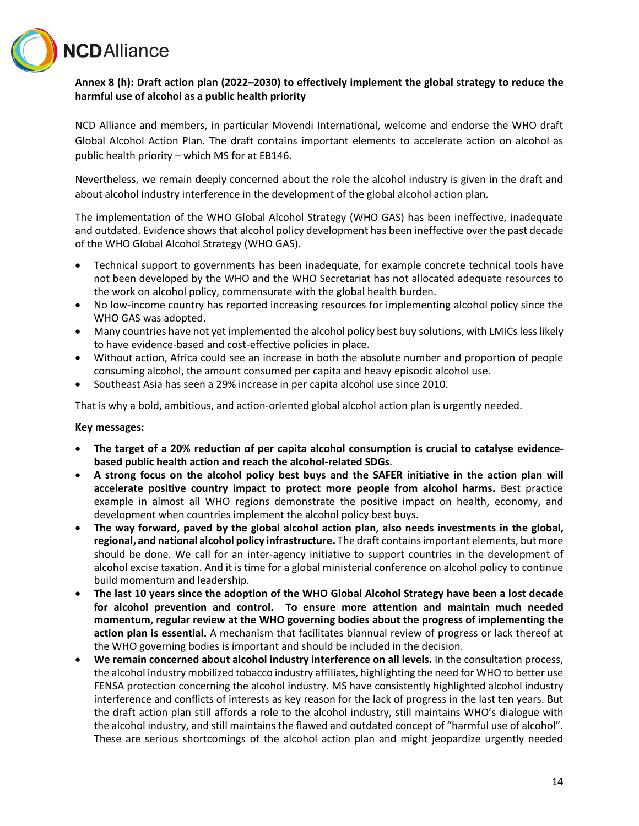

# **Annex 8 (h): Draft action plan (2022–2030) to effectively implement the global strategy to reduce the harmful use of alcohol as a public health priority**

NCD Alliance and members, in particular Movendi International, welcome and endorse the WHO draft Global Alcohol Action Plan. The draft contains important elements to accelerate action on alcohol as public health priority – which MS for at EB146.

Nevertheless, we remain deeply concerned about the role the alcohol industry is given in the draft and about alcohol industry interference in the development of the global alcohol action plan.

The implementation of the WHO Global Alcohol Strategy (WHO GAS) has been ineffective, inadequate and outdated. Evidence shows that alcohol policy development has been ineffective over the past decade of the WHO Global Alcohol Strategy (WHO GAS).

- Technical support to governments has been inadequate, for example concrete technical tools have not been developed by the WHO and the WHO Secretariat has not allocated adequate resources to the work on alcohol policy, commensurate with the global health burden.
- No low-income country has reported increasing resources for implementing alcohol policy since the WHO GAS was adopted.
- Many countries have not yet implemented the alcohol policy best buy solutions, with LMICs less likely to have evidence-based and cost-effective policies in place.
- Without action, Africa could see an increase in both the absolute number and proportion of people consuming alcohol, the amount consumed per capita and heavy episodic alcohol use.
- Southeast Asia has seen a 29% increase in per capita alcohol use since 2010.

That is why a bold, ambitious, and action-oriented global alcohol action plan is urgently needed.

#### **Key messages:**

- **The target of a 20% reduction of per capita alcohol consumption is crucial to catalyse evidencebased public health action and reach the alcohol-related SDGs**.
- **A strong focus on the alcohol policy best buys and the SAFER initiative in the action plan will accelerate positive country impact to protect more people from alcohol harms.** Best practice example in almost all WHO regions demonstrate the positive impact on health, economy, and development when countries implement the alcohol policy best buys.
- **The way forward, paved by the global alcohol action plan, also needs investments in the global, regional, and national alcohol policy infrastructure.** The draft contains important elements, but more should be done. We call for an inter-agency initiative to support countries in the development of alcohol excise taxation. And it is time for a global ministerial conference on alcohol policy to continue build momentum and leadership.
- **The last 10 years since the adoption of the WHO Global Alcohol Strategy have been a lost decade for alcohol prevention and control. To ensure more attention and maintain much needed momentum, regular review at the WHO governing bodies about the progress of implementing the action plan is essential.** A mechanism that facilitates biannual review of progress or lack thereof at the WHO governing bodies is important and should be included in the decision.
- **We remain concerned about alcohol industry interference on all levels.** In the consultation process, the alcohol industry mobilized tobacco industry affiliates, highlighting the need for WHO to better use FENSA protection concerning the alcohol industry. MS have consistently highlighted alcohol industry interference and conflicts of interests as key reason for the lack of progress in the last ten years. But the draft action plan still affords a role to the alcohol industry, still maintains WHO's dialogue with the alcohol industry, and still maintains the flawed and outdated concept of "harmful use of alcohol". These are serious shortcomings of the alcohol action plan and might jeopardize urgently needed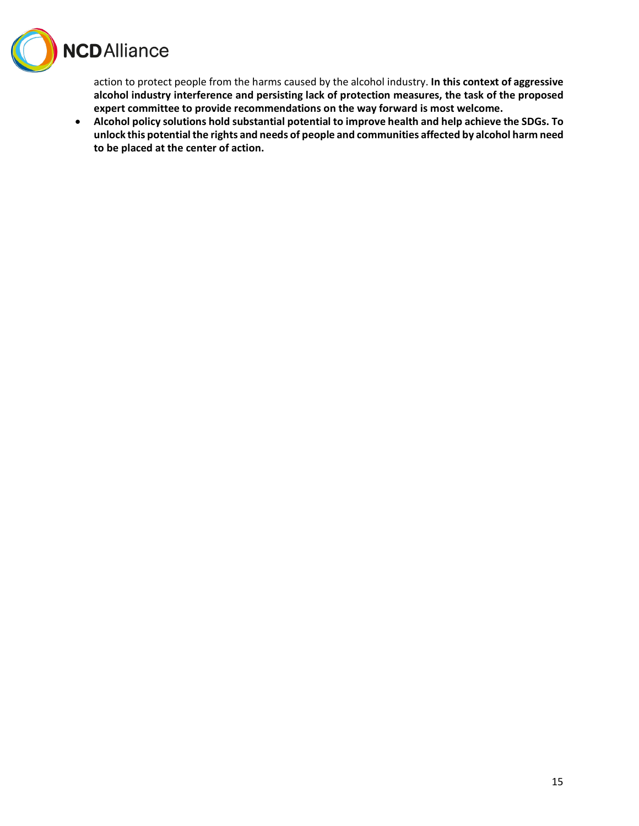

action to protect people from the harms caused by the alcohol industry. **In this context of aggressive alcohol industry interference and persisting lack of protection measures, the task of the proposed expert committee to provide recommendations on the way forward is most welcome.**

• **Alcohol policy solutions hold substantial potential to improve health and help achieve the SDGs. To unlock this potential the rights and needs of people and communities affected by alcohol harm need to be placed at the center of action.**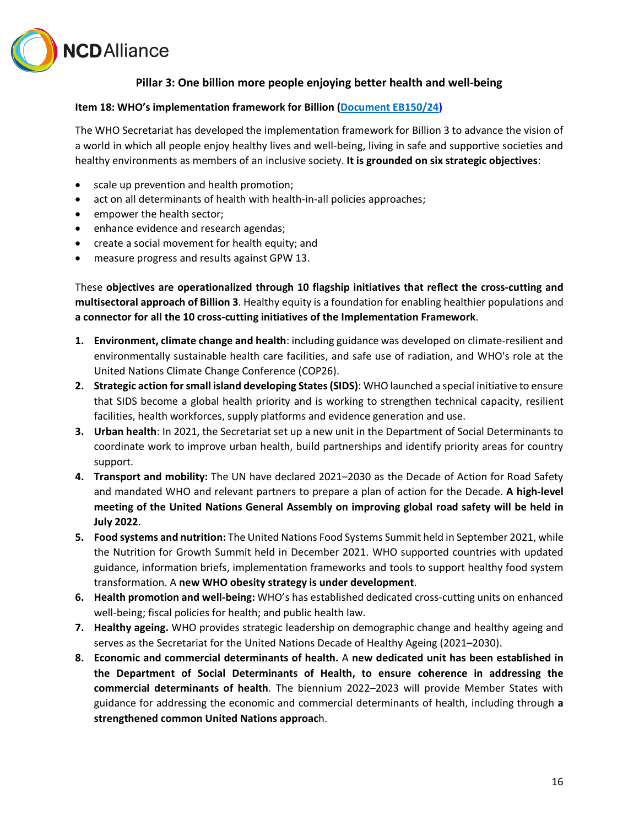

# **Pillar 3: One billion more people enjoying better health and well-being**

#### **Item 18: WHO's implementation framework for Billion [\(Document EB150/24\)](https://apps.who.int/gb/ebwha/pdf_files/EB150/B150_24-en.pdf)**

The WHO Secretariat has developed the implementation framework for Billion 3 to advance the vision of a world in which all people enjoy healthy lives and well-being, living in safe and supportive societies and healthy environments as members of an inclusive society. **It is grounded on six strategic objectives**:

- scale up prevention and health promotion;
- act on all determinants of health with health-in-all policies approaches;
- empower the health sector;
- enhance evidence and research agendas;
- create a social movement for health equity; and
- measure progress and results against GPW 13.

These **objectives are operationalized through 10 flagship initiatives that reflect the cross-cutting and multisectoral approach of Billion 3**. Healthy equity is a foundation for enabling healthier populations and **a connector for all the 10 cross-cutting initiatives of the Implementation Framework**.

- **1. Environment, climate change and health**: including guidance was developed on climate-resilient and environmentally sustainable health care facilities, and safe use of radiation, and WHO's role at the United Nations Climate Change Conference (COP26).
- **2. Strategic action for small island developing States (SIDS)**: WHO launched a special initiative to ensure that SIDS become a global health priority and is working to strengthen technical capacity, resilient facilities, health workforces, supply platforms and evidence generation and use.
- **3. Urban health**: In 2021, the Secretariat set up a new unit in the Department of Social Determinants to coordinate work to improve urban health, build partnerships and identify priority areas for country support.
- **4. Transport and mobility:** The UN have declared 2021–2030 as the Decade of Action for Road Safety and mandated WHO and relevant partners to prepare a plan of action for the Decade. **A high-level meeting of the United Nations General Assembly on improving global road safety will be held in July 2022**.
- **5. Food systems and nutrition:** The United Nations Food Systems Summit held in September 2021, while the Nutrition for Growth Summit held in December 2021. WHO supported countries with updated guidance, information briefs, implementation frameworks and tools to support healthy food system transformation. A **new WHO obesity strategy is under development**.
- **6. Health promotion and well-being:** WHO's has established dedicated cross-cutting units on enhanced well-being; fiscal policies for health; and public health law.
- **7. Healthy ageing.** WHO provides strategic leadership on demographic change and healthy ageing and serves as the Secretariat for the United Nations Decade of Healthy Ageing (2021–2030).
- **8. Economic and commercial determinants of health.** A **new dedicated unit has been established in the Department of Social Determinants of Health, to ensure coherence in addressing the commercial determinants of health**. The biennium 2022–2023 will provide Member States with guidance for addressing the economic and commercial determinants of health, including through **a strengthened common United Nations approac**h.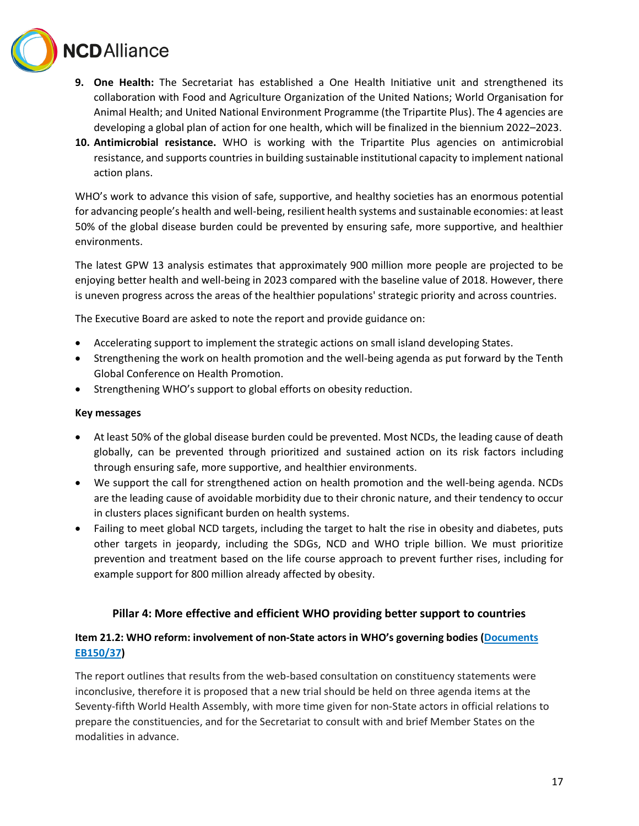

- **9. One Health:** The Secretariat has established a One Health Initiative unit and strengthened its collaboration with Food and Agriculture Organization of the United Nations; World Organisation for Animal Health; and United National Environment Programme (the Tripartite Plus). The 4 agencies are developing a global plan of action for one health, which will be finalized in the biennium 2022–2023.
- **10. Antimicrobial resistance.** WHO is working with the Tripartite Plus agencies on antimicrobial resistance, and supports countries in building sustainable institutional capacity to implement national action plans.

WHO's work to advance this vision of safe, supportive, and healthy societies has an enormous potential for advancing people's health and well-being, resilient health systems and sustainable economies: at least 50% of the global disease burden could be prevented by ensuring safe, more supportive, and healthier environments.

The latest GPW 13 analysis estimates that approximately 900 million more people are projected to be enjoying better health and well-being in 2023 compared with the baseline value of 2018. However, there is uneven progress across the areas of the healthier populations' strategic priority and across countries.

The Executive Board are asked to note the report and provide guidance on:

- Accelerating support to implement the strategic actions on small island developing States.
- Strengthening the work on health promotion and the well-being agenda as put forward by the Tenth Global Conference on Health Promotion.
- Strengthening WHO's support to global efforts on obesity reduction.

#### **Key messages**

- At least 50% of the global disease burden could be prevented. Most NCDs, the leading cause of death globally, can be prevented through prioritized and sustained action on its risk factors including through ensuring safe, more supportive, and healthier environments.
- We support the call for strengthened action on health promotion and the well-being agenda. NCDs are the leading cause of avoidable morbidity due to their chronic nature, and their tendency to occur in clusters places significant burden on health systems.
- Failing to meet global NCD targets, including the target to halt the rise in obesity and diabetes, puts other targets in jeopardy, including the SDGs, NCD and WHO triple billion. We must prioritize prevention and treatment based on the life course approach to prevent further rises, including for example support for 800 million already affected by obesity.

# **Pillar 4: More effective and efficient WHO providing better support to countries**

# **Item 21.2: WHO reform: involvement of non-State actors in WHO's governing bodies [\(Documents](https://apps.who.int/gb/ebwha/pdf_files/EB150/B150_37-en.pdf)  [EB150/37\)](https://apps.who.int/gb/ebwha/pdf_files/EB150/B150_37-en.pdf)**

The report outlines that results from the web-based consultation on constituency statements were inconclusive, therefore it is proposed that a new trial should be held on three agenda items at the Seventy-fifth World Health Assembly, with more time given for non-State actors in official relations to prepare the constituencies, and for the Secretariat to consult with and brief Member States on the modalities in advance.